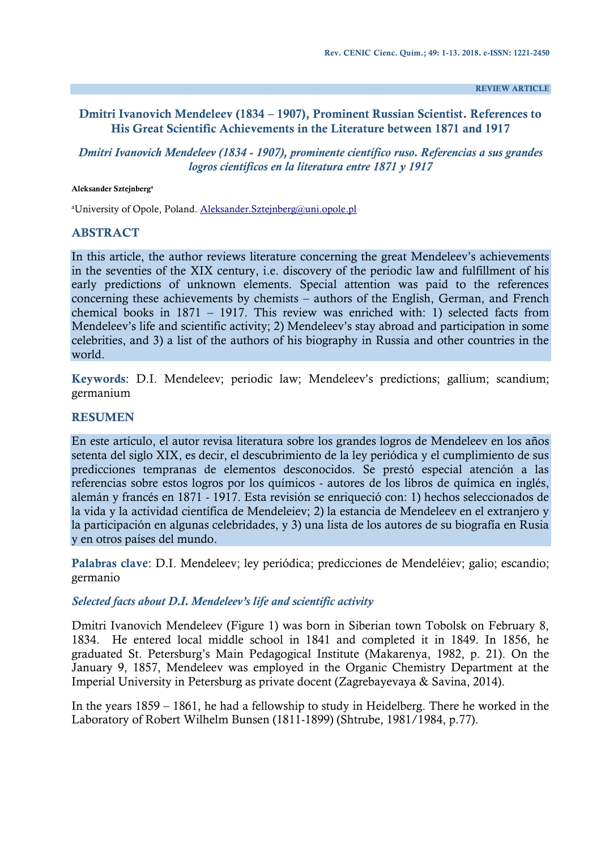**REVIEW ARTICLE**

## **Dmitri Ivanovich Mendeleev (1834 – 1907), Prominent Russian Scientist. References to His Great Scientific Achievements in the Literature between 1871 and 1917**

*Dmitri Ivanovich Mendeleev (1834 - 1907), prominente científico ruso. Referencias a sus grandes logros científicos en la literatura entre 1871 y 1917*

#### **Aleksander Sztejnberg<sup>a</sup>**

<sup>a</sup>University of Opole, Poland. [Aleksander.Sztejnberg@uni.opole.pl](mailto:Aleksander.Sztejnberg@uni.opole.pl)

#### **ABSTRACT**

In this article, the author reviews literature concerning the great Mendeleev's achievements in the seventies of the XIX century, i.e. discovery of the periodic law and fulfillment of his early predictions of unknown elements. Special attention was paid to the references concerning these achievements by chemists – authors of the English, German, and French chemical books in 1871 – 1917. This review was enriched with: 1) selected facts from Mendeleev's life and scientific activity; 2) Mendeleev's stay abroad and participation in some celebrities, and 3) a list of the authors of his biography in Russia and other countries in the world.

**Keywords**: D.I. Mendeleev; periodic law; Mendeleev's predictions; gallium; scandium; germanium

### **RESUMEN**

En este artículo, el autor revisa literatura sobre los grandes logros de Mendeleev en los años setenta del siglo XIX, es decir, el descubrimiento de la ley periódica y el cumplimiento de sus predicciones tempranas de elementos desconocidos. Se prestó especial atención a las referencias sobre estos logros por los químicos - autores de los libros de química en inglés, alemán y francés en 1871 - 1917. Esta revisión se enriqueció con: 1) hechos seleccionados de la vida y la actividad científica de Mendeleiev; 2) la estancia de Mendeleev en el extranjero y la participación en algunas celebridades, y 3) una lista de los autores de su biografía en Rusia y en otros países del mundo.

**Palabras clave**: D.I. Mendeleev; ley periódica; predicciones de Mendeléiev; galio; escandio; germanio

### *Selected facts about D.I. Mendeleev's life and scientific activity*

Dmitri Ivanovich Mendeleev (Figure 1) was born in Siberian town Tobolsk on February 8, 1834. He entered local middle school in 1841 and completed it in 1849. In 1856, he graduated St. Petersburg's Main Pedagogical Institute (Makarenya, 1982, p. 21). On the January 9, 1857, Mendeleev was employed in the Organic Chemistry Department at the Imperial University in Petersburg as private docent (Zagrebayevaya & Savina, 2014).

In the years 1859 – 1861, he had a fellowship to study in Heidelberg. There he worked in the Laboratory of Robert Wilhelm Bunsen (1811-1899) (Shtrube, 1981/1984, p.77).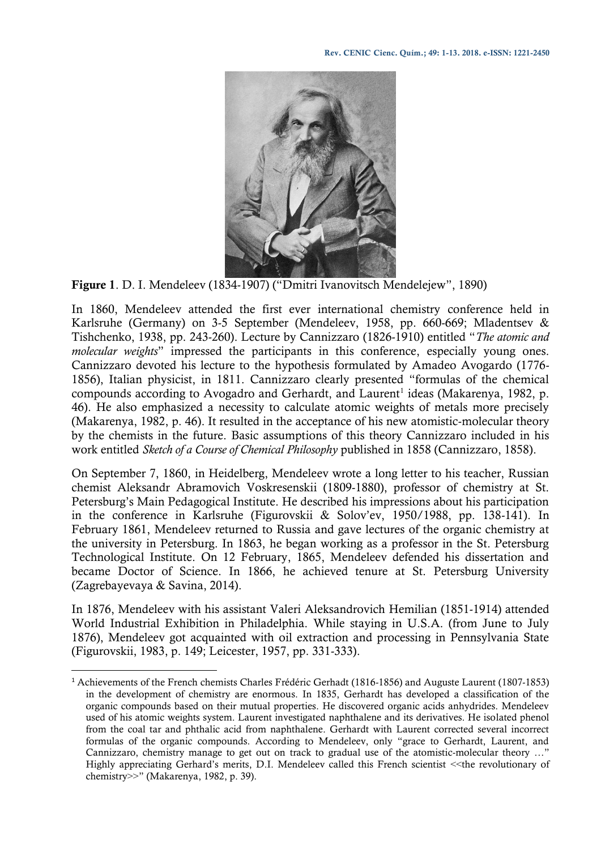

**Figure 1**. D. I. Mendeleev (1834-1907) ("Dmitri Ivanovitsch Mendelejew", 1890)

In 1860, Mendeleev attended the first ever international chemistry conference held in Karlsruhe (Germany) on 3-5 September (Mendeleev, 1958, pp. 660-669; Mladentsev & Tishchenko, 1938, pp. 243-260). Lecture by Cannizzaro (1826-1910) entitled "*The atomic and molecular weights*" impressed the participants in this conference, especially young ones. Cannizzaro devoted his lecture to the hypothesis formulated by Amadeo Avogardo (1776- 1856), Italian physicist, in 1811. Cannizzaro clearly presented "formulas of the chemical compounds according to Avogadro and Gerhardt, and Laurent<sup>1</sup> ideas (Makarenya, 1982, p. 46). He also emphasized a necessity to calculate atomic weights of metals more precisely (Makarenya, 1982, p. 46). It resulted in the acceptance of his new atomistic-molecular theory by the chemists in the future. Basic assumptions of this theory Cannizzaro included in his work entitled *Sketch of a Course of Chemical Philosophy* published in 1858 (Cannizzaro, 1858).

On September 7, 1860, in Heidelberg, Mendeleev wrote a long letter to his teacher, Russian chemist Aleksandr Abramovich Voskresenskii (1809-1880), professor of chemistry at St. Petersburg's Main Pedagogical Institute. He described his impressions about his participation in the conference in Karlsruhe (Figurovskii & Solov'ev, 1950/1988, pp. 138-141). In February 1861, Mendeleev returned to Russia and gave lectures of the organic chemistry at the university in Petersburg. In 1863, he began working as a professor in the St. Petersburg Technological Institute. On 12 February, 1865, Mendeleev defended his dissertation and became Doctor of Science. In 1866, he achieved tenure at St. Petersburg University (Zagrebayevaya & Savina, 2014).

In 1876, Mendeleev with his assistant Valeri Aleksandrovich Hemilian (1851-1914) attended World Industrial Exhibition in Philadelphia. While staying in U.S.A. (from June to July 1876), Mendeleev got acquainted with oil extraction and processing in Pennsylvania State (Figurovskii, 1983, p. 149; Leicester, 1957, pp. 331-333).

 $\overline{\phantom{a}}$ 

<sup>1</sup> Achievements of the French chemists Charles Frédéric Gerhadt (1816-1856) and Auguste Laurent (1807-1853) in the development of chemistry are enormous. In 1835, Gerhardt has developed a classification of the organic compounds based on their mutual properties. He discovered organic acids anhydrides. Mendeleev used of his atomic weights system. Laurent investigated naphthalene and its derivatives. He isolated phenol from the coal tar and phthalic acid from naphthalene. Gerhardt with Laurent corrected several incorrect formulas of the organic compounds. According to Mendeleev, only "grace to Gerhardt, Laurent, and Cannizzaro, chemistry manage to get out on track to gradual use of the atomistic-molecular theory …" Highly appreciating Gerhard's merits, D.I. Mendeleev called this French scientist ˂˂the revolutionary of chemistry>>" (Makarenya, 1982, p. 39).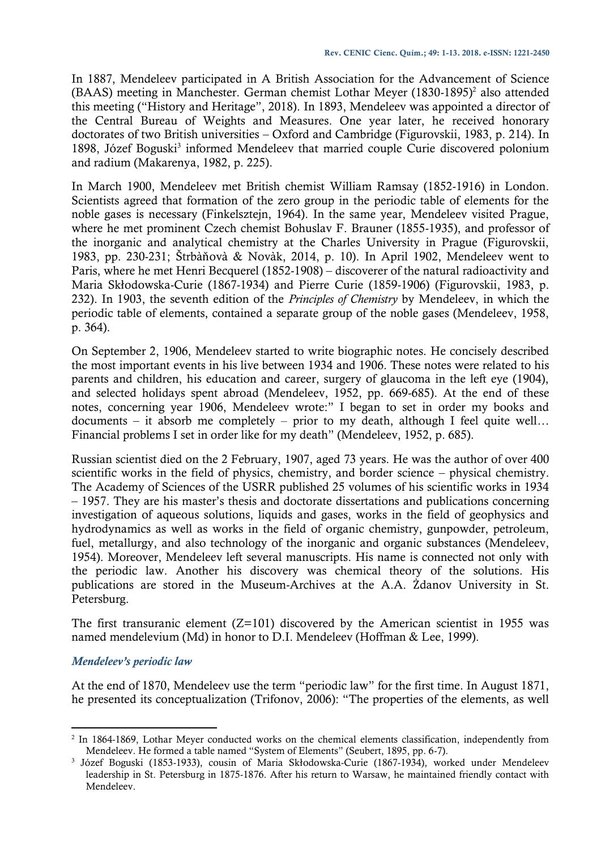In 1887, Mendeleev participated in A British Association for the Advancement of Science (BAAS) meeting in Manchester. German chemist Lothar Meyer (1830-1895)<sup>2</sup> also attended this meeting ("History and Heritage", 2018). In 1893, Mendeleev was appointed a director of the Central Bureau of Weights and Measures. One year later, he received honorary doctorates of two British universities – Oxford and Cambridge (Figurovskii, 1983, p. 214). In 1898, Józef Boguski<sup>3</sup> informed Mendeleev that married couple Curie discovered polonium and radium (Makarenya, 1982, p. 225).

In March 1900, Mendeleev met British chemist William Ramsay (1852-1916) in London. Scientists agreed that formation of the zero group in the periodic table of elements for the noble gases is necessary (Finkelsztejn, 1964). In the same year, Mendeleev visited Prague, where he met prominent Czech chemist Bohuslav F. Brauner (1855-1935), and professor of the inorganic and analytical chemistry at the Charles University in Prague (Figurovskii, 1983, pp. 230-231; Štrbàňovà & Novàk, 2014, p. 10). In April 1902, Mendeleev went to Paris, where he met Henri Becquerel (1852-1908) – discoverer of the natural radioactivity and Maria Skłodowska-Curie (1867-1934) and Pierre Curie (1859-1906) (Figurovskii, 1983, p. 232). In 1903, the seventh edition of the *Principles of Chemistry* by Mendeleev, in which the periodic table of elements, contained a separate group of the noble gases (Mendeleev, 1958, p. 364).

On September 2, 1906, Mendeleev started to write biographic notes. He concisely described the most important events in his live between 1934 and 1906. These notes were related to his parents and children, his education and career, surgery of glaucoma in the left eye (1904), and selected holidays spent abroad (Mendeleev, 1952, pp. 669-685). At the end of these notes, concerning year 1906, Mendeleev wrote:" I began to set in order my books and documents – it absorb me completely – prior to my death, although I feel quite well... Financial problems I set in order like for my death" (Mendeleev, 1952, p. 685).

Russian scientist died on the 2 February, 1907, aged 73 years. He was the author of over 400 scientific works in the field of physics, chemistry, and border science – physical chemistry. The Academy of Sciences of the USRR published 25 volumes of his scientific works in 1934 – 1957. They are his master's thesis and doctorate dissertations and publications concerning investigation of aqueous solutions, liquids and gases, works in the field of geophysics and hydrodynamics as well as works in the field of organic chemistry, gunpowder, petroleum, fuel, metallurgy, and also technology of the inorganic and organic substances (Mendeleev, 1954). Moreover, Mendeleev left several manuscripts. His name is connected not only with the periodic law. Another his discovery was chemical theory of the solutions. His publications are stored in the Museum-Archives at the A.A. Żdanov University in St. Petersburg.

The first transuranic element  $(Z=101)$  discovered by the American scientist in 1955 was named mendelevium (Md) in honor to D.I. Mendeleev (Hoffman & Lee, 1999).

# *Mendeleev's periodic law*

l

At the end of 1870, Mendeleev use the term "periodic law" for the first time. In August 1871, he presented its conceptualization (Trifonov, 2006): "The properties of the elements, as well

<sup>&</sup>lt;sup>2</sup> In 1864-1869, Lothar Meyer conducted works on the chemical elements classification, independently from Mendeleev. He formed a table named "System of Elements" (Seubert, 1895, pp. 6-7).

<sup>3</sup> Józef Boguski (1853-1933), cousin of Maria Skłodowska-Curie (1867-1934), worked under Mendeleev leadership in St. Petersburg in 1875-1876. After his return to Warsaw, he maintained friendly contact with Mendeleev.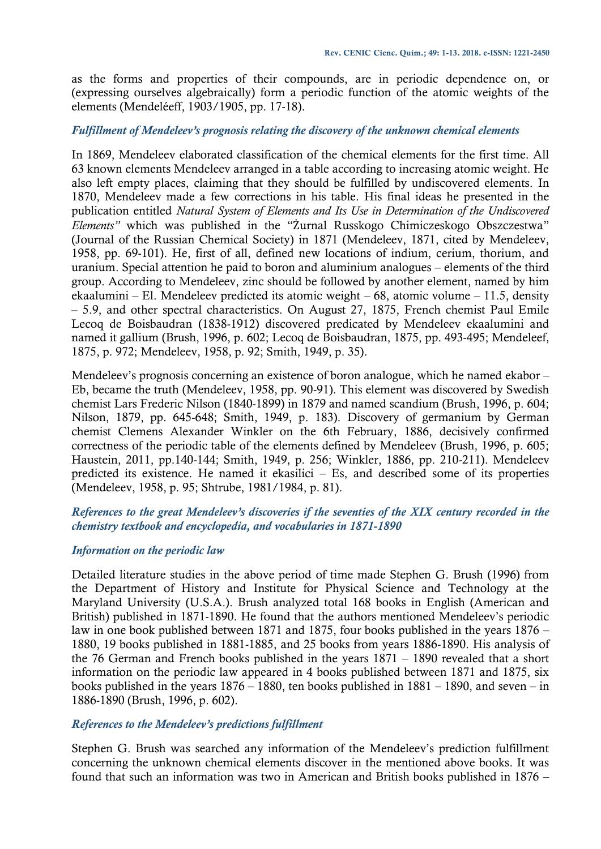as the forms and properties of their compounds, are in periodic dependence on, or (expressing ourselves algebraically) form a periodic function of the atomic weights of the elements (Mendeléeff, 1903/1905, pp. 17-18).

## *Fulfillment of Mendeleev's prognosis relating the discovery of the unknown chemical elements*

In 1869, Mendeleev elaborated classification of the chemical elements for the first time. All 63 known elements Mendeleev arranged in a table according to increasing atomic weight. He also left empty places, claiming that they should be fulfilled by undiscovered elements. In 1870, Mendeleev made a few corrections in his table. His final ideas he presented in the publication entitled *Natural System of Elements and Its Use in Determination of the Undiscovered Elements"* which was published in the "Żurnal Russkogo Chimiczeskogo Obszczestwa" (Journal of the Russian Chemical Society) in 1871 (Mendeleev, 1871, cited by Mendeleev, 1958, pp. 69-101). He, first of all, defined new locations of indium, cerium, thorium, and uranium. Special attention he paid to boron and aluminium analogues – elements of the third group. According to Mendeleev, zinc should be followed by another element, named by him ekaalumini – El. Mendeleev predicted its atomic weight – 68, atomic volume – 11.5, density ‒ 5.9, and other spectral characteristics. On August 27, 1875, French chemist Paul Emile Lecoq de Boisbaudran (1838-1912) discovered predicated by Mendeleev ekaalumini and named it gallium (Brush, 1996, p. 602; Lecoq de Boisbaudran, 1875, pp. 493-495; Mendeleef, 1875, p. 972; Mendeleev, 1958, p. 92; Smith, 1949, p. 35).

Mendeleev's prognosis concerning an existence of boron analogue, which he named ekabor – Eb, became the truth (Mendeleev, 1958, pp. 90-91). This element was discovered by Swedish chemist Lars Frederic Nilson (1840-1899) in 1879 and named scandium (Brush, 1996, p. 604; Nilson, 1879, pp. 645-648; Smith, 1949, p. 183). Discovery of germanium by German chemist Clemens Alexander Winkler on the 6th February, 1886, decisively confirmed correctness of the periodic table of the elements defined by Mendeleev (Brush, 1996, p. 605; Haustein, 2011, pp.140-144; Smith, 1949, p. 256; Winkler, 1886, pp. 210-211). Mendeleev predicted its existence. He named it ekasilici  $-$  Es, and described some of its properties (Mendeleev, 1958, p. 95; Shtrube, 1981/1984, p. 81).

## *References to the great Mendeleev's discoveries if the seventies of the XIX century recorded in the chemistry textbook and encyclopedia, and vocabularies in 1871-1890*

## *Information on the periodic law*

Detailed literature studies in the above period of time made Stephen G. Brush (1996) from the Department of History and Institute for Physical Science and Technology at the Maryland University (U.S.A.). Brush analyzed total 168 books in English (American and British) published in 1871-1890. He found that the authors mentioned Mendeleev's periodic law in one book published between 1871 and 1875, four books published in the years 1876 – 1880, 19 books published in 1881-1885, and 25 books from years 1886-1890. His analysis of the 76 German and French books published in the years 1871 – 1890 revealed that a short information on the periodic law appeared in 4 books published between 1871 and 1875, six books published in the years 1876 – 1880, ten books published in 1881 – 1890, and seven – in 1886-1890 (Brush, 1996, p. 602).

## *References to the Mendeleev's predictions fulfillment*

Stephen G. Brush was searched any information of the Mendeleev's prediction fulfillment concerning the unknown chemical elements discover in the mentioned above books. It was found that such an information was two in American and British books published in 1876 –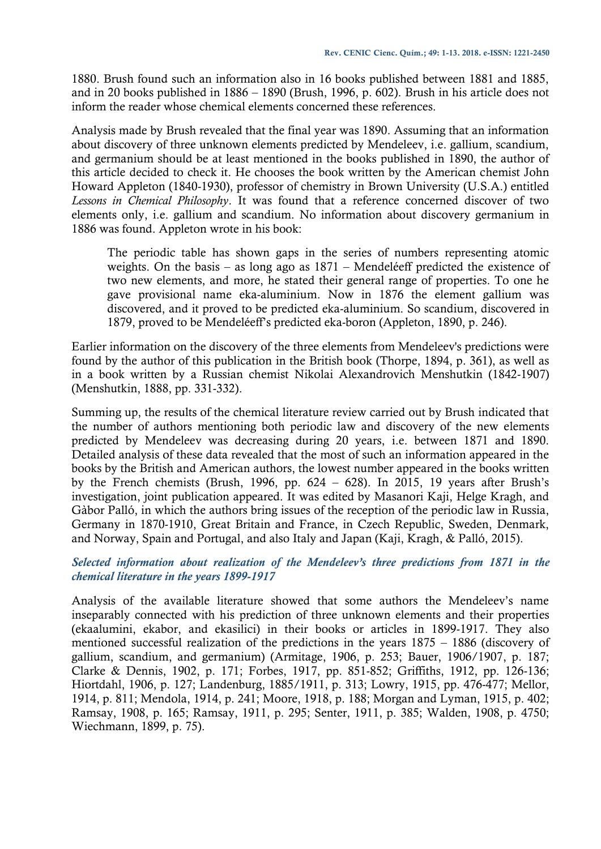1880. Brush found such an information also in 16 books published between 1881 and 1885, and in 20 books published in 1886 – 1890 (Brush, 1996, p. 602). Brush in his article does not inform the reader whose chemical elements concerned these references.

Analysis made by Brush revealed that the final year was 1890. Assuming that an information about discovery of three unknown elements predicted by Mendeleev, i.e. gallium, scandium, and germanium should be at least mentioned in the books published in 1890, the author of this article decided to check it. He chooses the book written by the American chemist John Howard Appleton (1840-1930), professor of chemistry in Brown University (U.S.A.) entitled *Lessons in Chemical Philosophy*. It was found that a reference concerned discover of two elements only, i.e. gallium and scandium. No information about discovery germanium in 1886 was found. Appleton wrote in his book:

The periodic table has shown gaps in the series of numbers representing atomic weights. On the basis – as long ago as 1871 – Mendeléeff predicted the existence of two new elements, and more, he stated their general range of properties. To one he gave provisional name eka-aluminium. Now in 1876 the element gallium was discovered, and it proved to be predicted eka-aluminium. So scandium, discovered in 1879, proved to be Mendeléeff's predicted eka-boron (Appleton, 1890, p. 246).

Earlier information on the discovery of the three elements from Mendeleev's predictions were found by the author of this publication in the British book (Thorpe, 1894, p. 361), as well as in a book written by a Russian chemist Nikolai Alexandrovich Menshutkin (1842-1907) (Menshutkin, 1888, pp. 331-332).

Summing up, the results of the chemical literature review carried out by Brush indicated that the number of authors mentioning both periodic law and discovery of the new elements predicted by Mendeleev was decreasing during 20 years, i.e. between 1871 and 1890. Detailed analysis of these data revealed that the most of such an information appeared in the books by the British and American authors, the lowest number appeared in the books written by the French chemists (Brush, 1996, pp.  $624 - 628$ ). In 2015, 19 years after Brush's investigation, joint publication appeared. It was edited by Masanori Kaji, Helge Kragh, and Gàbor Palló, in which the authors bring issues of the reception of the periodic law in Russia, Germany in 1870-1910, Great Britain and France, in Czech Republic, Sweden, Denmark, and Norway, Spain and Portugal, and also Italy and Japan (Kaji, Kragh, & Palló, 2015).

## *Selected information about realization of the Mendeleev's three predictions from 1871 in the chemical literature in the years 1899-1917*

Analysis of the available literature showed that some authors the Mendeleev's name inseparably connected with his prediction of three unknown elements and their properties (ekaalumini, ekabor, and ekasilici) in their books or articles in 1899-1917. They also mentioned successful realization of the predictions in the years 1875 – 1886 (discovery of gallium, scandium, and germanium) (Armitage, 1906, p. 253; Bauer, 1906/1907, p. 187; Clarke & Dennis, 1902, p. 171; Forbes, 1917, pp. 851-852; Griffiths, 1912, pp. 126-136; Hiortdahl, 1906, p. 127; Landenburg, 1885/1911, p. 313; Lowry, 1915, pp. 476-477; Mellor, 1914, p. 811; Mendola, 1914, p. 241; Moore, 1918, p. 188; Morgan and Lyman, 1915, p. 402; Ramsay, 1908, p. 165; Ramsay, 1911, p. 295; Senter, 1911, p. 385; Walden, 1908, p. 4750; Wiechmann, 1899, p. 75).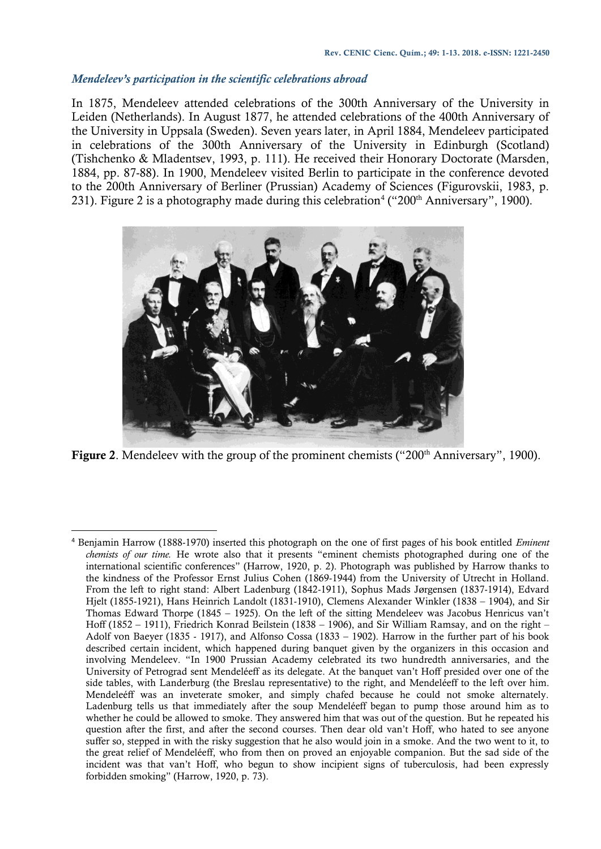#### *Mendeleev's participation in the scientific celebrations abroad*

 $\overline{a}$ 

In 1875, Mendeleev attended celebrations of the 300th Anniversary of the University in Leiden (Netherlands). In August 1877, he attended celebrations of the 400th Anniversary of the University in Uppsala (Sweden). Seven years later, in April 1884, Mendeleev participated in celebrations of the 300th Anniversary of the University in Edinburgh (Scotland) (Tishchenko & Mladentsev, 1993, p. 111). He received their Honorary Doctorate (Marsden, 1884, pp. 87-88). In 1900, Mendeleev visited Berlin to participate in the conference devoted to the 200th Anniversary of Berliner (Prussian) Academy of Sciences (Figurovskii, 1983, p. 231). Figure 2 is a photography made during this celebration<sup>4</sup> ("200<sup>th</sup> Anniversary", 1900).



**Figure 2**. Mendeleev with the group of the prominent chemists ("200<sup>th</sup> Anniversary", 1900).

<sup>4</sup> Benjamin Harrow (1888-1970) inserted this photograph on the one of first pages of his book entitled *Eminent chemists of our time.* He wrote also that it presents "eminent chemists photographed during one of the international scientific conferences" (Harrow, 1920, p. 2). Photograph was published by Harrow thanks to the kindness of the Professor Ernst Julius Cohen (1869-1944) from the University of Utrecht in Holland. From the left to right stand: Albert Ladenburg (1842-1911), Sophus Mads Jørgensen (1837-1914), Edvard Hjelt (1855-1921), Hans Heinrich Landolt (1831-1910), Clemens Alexander Winkler (1838 – 1904), and Sir Thomas Edward Thorpe (1845 – 1925). On the left of the sitting Mendeleev was Jacobus Henricus van't Hoff (1852 – 1911), Friedrich Konrad Beilstein (1838 – 1906), and Sir William Ramsay, and on the right – Adolf von Baeyer (1835 - 1917), and Alfonso Cossa (1833 – 1902). Harrow in the further part of his book described certain incident, which happened during banquet given by the organizers in this occasion and involving Mendeleev. "In 1900 Prussian Academy celebrated its two hundredth anniversaries, and the University of Petrograd sent Mendeléeff as its delegate. At the banquet van't Hoff presided over one of the side tables, with Landerburg (the Breslau representative) to the right, and Mendeléeff to the left over him. Mendeleéff was an inveterate smoker, and simply chafed because he could not smoke alternately. Ladenburg tells us that immediately after the soup Mendeléeff began to pump those around him as to whether he could be allowed to smoke. They answered him that was out of the question. But he repeated his question after the first, and after the second courses. Then dear old van't Hoff, who hated to see anyone suffer so, stepped in with the risky suggestion that he also would join in a smoke. And the two went to it, to the great relief of Mendeléeff, who from then on proved an enjoyable companion. But the sad side of the incident was that van't Hoff, who begun to show incipient signs of tuberculosis, had been expressly forbidden smoking" (Harrow, 1920, p. 73).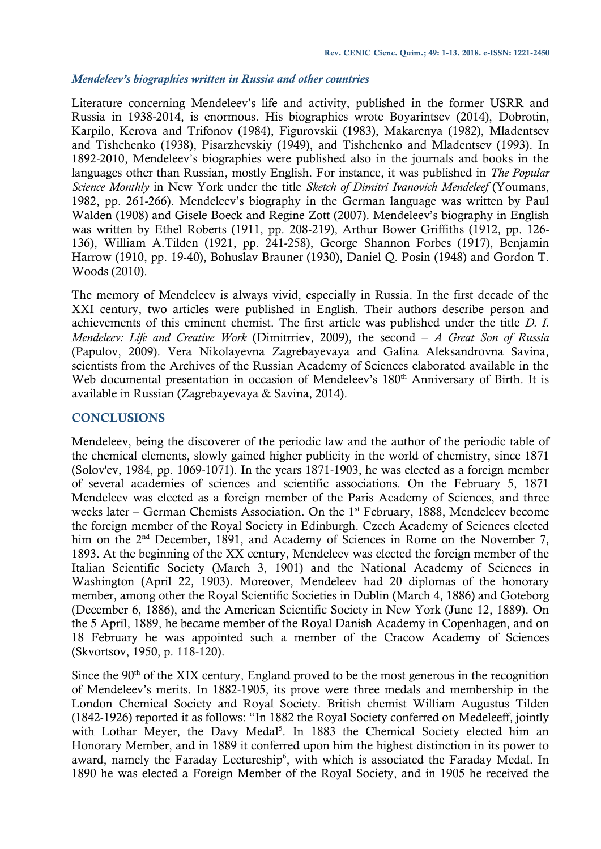#### *Mendeleev's biographies written in Russia and other countries*

Literature concerning Mendeleev's life and activity, published in the former USRR and Russia in 1938-2014, is enormous. His biographies wrote Boyarintsev (2014), Dobrotin, Karpilo, Kerova and Trifonov (1984), Figurovskii (1983), Makarenya (1982), Mladentsev and Tishchenko (1938), Pisarzhevskiy (1949), and Tishchenko and Mladentsev (1993). In 1892-2010, Mendeleev's biographies were published also in the journals and books in the languages other than Russian, mostly English. For instance, it was published in *The Popular Science Monthly* in New York under the title *Sketch of Dimitri Ivanovich Mendeleef* (Youmans, 1982, pp. 261-266). Mendeleev's biography in the German language was written by Paul Walden (1908) and Gisele Boeck and Regine Zott (2007). Mendeleev's biography in English was written by Ethel Roberts (1911, pp. 208-219), Arthur Bower Griffiths (1912, pp. 126- 136), William A.Tilden (1921, pp. 241-258), George Shannon Forbes (1917), Benjamin Harrow (1910, pp. 19-40), Bohuslav Brauner (1930), Daniel Q. Posin (1948) and Gordon T. Woods (2010).

The memory of Mendeleev is always vivid, especially in Russia. In the first decade of the XXI century, two articles were published in English. Their authors describe person and achievements of this eminent chemist. The first article was published under the title *D. I. Mendeleev: Life and Creative Work* (Dimitrriev, 2009), the second ‒ *A Great Son of Russia*  (Papulov, 2009). Vera Nikolayevna Zagrebayevaya and Galina Aleksandrovna Savina, scientists from the Archives of the Russian Academy of Sciences elaborated available in the Web documental presentation in occasion of Mendeleev's 180<sup>th</sup> Anniversary of Birth. It is available in Russian (Zagrebayevaya & Savina, 2014).

## **CONCLUSIONS**

Mendeleev, being the discoverer of the periodic law and the author of the periodic table of the chemical elements, slowly gained higher publicity in the world of chemistry, since 1871 (Solov'ev, 1984, pp. 1069-1071). In the years 1871-1903, he was elected as a foreign member of several academies of sciences and scientific associations. On the February 5, 1871 Mendeleev was elected as a foreign member of the Paris Academy of Sciences, and three weeks later – German Chemists Association. On the  $1<sup>st</sup>$  February, 1888, Mendeleev become the foreign member of the Royal Society in Edinburgh. Czech Academy of Sciences elected him on the 2<sup>nd</sup> December, 1891, and Academy of Sciences in Rome on the November 7, 1893. At the beginning of the XX century, Mendeleev was elected the foreign member of the Italian Scientific Society (March 3, 1901) and the National Academy of Sciences in Washington (April 22, 1903). Moreover, Mendeleev had 20 diplomas of the honorary member, among other the Royal Scientific Societies in Dublin (March 4, 1886) and Goteborg (December 6, 1886), and the American Scientific Society in New York (June 12, 1889). On the 5 April, 1889, he became member of the Royal Danish Academy in Copenhagen, and on 18 February he was appointed such a member of the Cracow Academy of Sciences (Skvortsov, 1950, p. 118-120).

Since the  $90<sup>th</sup>$  of the XIX century, England proved to be the most generous in the recognition of Mendeleev's merits. In 1882-1905, its prove were three medals and membership in the London Chemical Society and Royal Society. British chemist William Augustus Tilden (1842-1926) reported it as follows: "In 1882 the Royal Society conferred on Medeleeff, jointly with Lothar Meyer, the Davy Medal<sup>5</sup>. In 1883 the Chemical Society elected him an Honorary Member, and in 1889 it conferred upon him the highest distinction in its power to award, namely the Faraday Lectureship<sup>6</sup>, with which is associated the Faraday Medal. In 1890 he was elected a Foreign Member of the Royal Society, and in 1905 he received the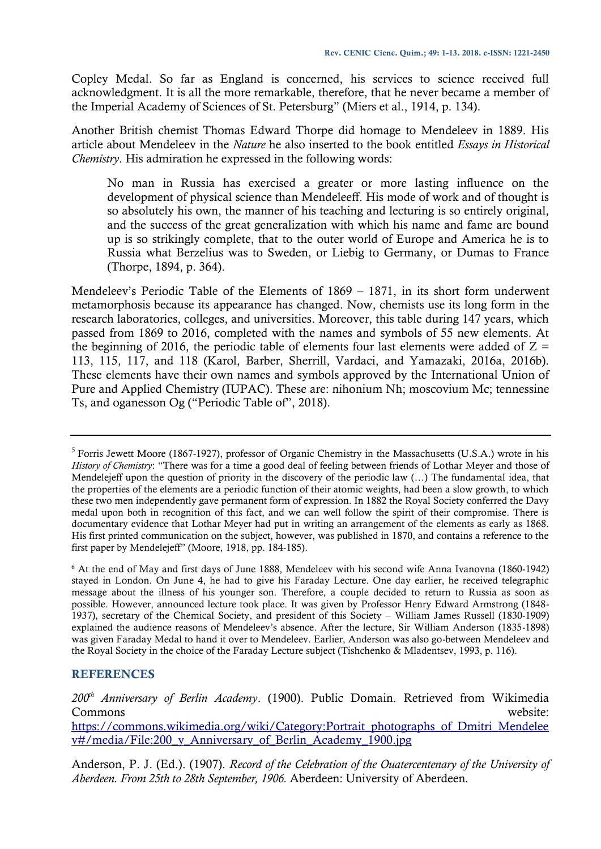Copley Medal. So far as England is concerned, his services to science received full acknowledgment. It is all the more remarkable, therefore, that he never became a member of the Imperial Academy of Sciences of St. Petersburg" (Miers et al., 1914, p. 134).

Another British chemist Thomas Edward Thorpe did homage to Mendeleev in 1889. His article about Mendeleev in the *Nature* he also inserted to the book entitled *Essays in Historical Chemistry*. His admiration he expressed in the following words:

No man in Russia has exercised a greater or more lasting influence on the development of physical science than Mendeleeff. His mode of work and of thought is so absolutely his own, the manner of his teaching and lecturing is so entirely original, and the success of the great generalization with which his name and fame are bound up is so strikingly complete, that to the outer world of Europe and America he is to Russia what Berzelius was to Sweden, or Liebig to Germany, or Dumas to France (Thorpe, 1894, p. 364).

Mendeleev's Periodic Table of the Elements of 1869 – 1871, in its short form underwent metamorphosis because its appearance has changed. Now, chemists use its long form in the research laboratories, colleges, and universities. Moreover, this table during 147 years, which passed from 1869 to 2016, completed with the names and symbols of 55 new elements. At the beginning of 2016, the periodic table of elements four last elements were added of  $Z =$ 113, 115, 117, and 118 (Karol, Barber, Sherrill, Vardaci, and Yamazaki, 2016a, 2016b). These elements have their own names and symbols approved by the International Union of Pure and Applied Chemistry (IUPAC). These are: nihonium Nh; moscovium Mc; tennessine Ts, and oganesson Og ("Periodic Table of", 2018).

<sup>6</sup> At the end of May and first days of June 1888, Mendeleev with his second wife Anna Ivanovna (1860-1942) stayed in London. On June 4, he had to give his Faraday Lecture. One day earlier, he received telegraphic message about the illness of his younger son. Therefore, a couple decided to return to Russia as soon as possible. However, announced lecture took place. It was given by Professor Henry Edward Armstrong (1848- 1937), secretary of the Chemical Society, and president of this Society – William James Russell (1830-1909) explained the audience reasons of Mendeleev's absence. After the lecture, Sir William Anderson (1835-1898) was given Faraday Medal to hand it over to Mendeleev. Earlier, Anderson was also go-between Mendeleev and the Royal Society in the choice of the Faraday Lecture subject (Tishchenko & Mladentsev, 1993, p. 116).

## **REFERENCES**

*200th Anniversary of Berlin Academy*. (1900). Public Domain. Retrieved from Wikimedia Commons website: [https://commons.wikimedia.org/wiki/Category:Portrait\\_photographs\\_of\\_Dmitri\\_Mendelee](https://commons.wikimedia.org/wiki/Category:Portrait_photographs_of_Dmitri_Mendeleev#/media/File:200_y_Anniversary_of_Berlin_Academy_1900.jpg) [v#/media/File:200\\_y\\_Anniversary\\_of\\_Berlin\\_Academy\\_1900.jpg](https://commons.wikimedia.org/wiki/Category:Portrait_photographs_of_Dmitri_Mendeleev#/media/File:200_y_Anniversary_of_Berlin_Academy_1900.jpg)

Anderson, P. J. (Ed.). (1907). *Record of the Celebration of the Ouatercentenary of the University of Aberdeen. From 25th to 28th September, 1906.* Aberdeen: University of Aberdeen*.*

<sup>&</sup>lt;sup>5</sup> Forris Jewett Moore (1867-1927), professor of Organic Chemistry in the Massachusetts (U.S.A.) wrote in his *History of Chemistry*: "There was for a time a good deal of feeling between friends of Lothar Meyer and those of Mendelejeff upon the question of priority in the discovery of the periodic law (…) The fundamental idea, that the properties of the elements are a periodic function of their atomic weights, had been a slow growth, to which these two men independently gave permanent form of expression. In 1882 the Royal Society conferred the Davy medal upon both in recognition of this fact, and we can well follow the spirit of their compromise. There is documentary evidence that Lothar Meyer had put in writing an arrangement of the elements as early as 1868. His first printed communication on the subject, however, was published in 1870, and contains a reference to the first paper by Mendelejeff" (Moore, 1918, pp. 184-185).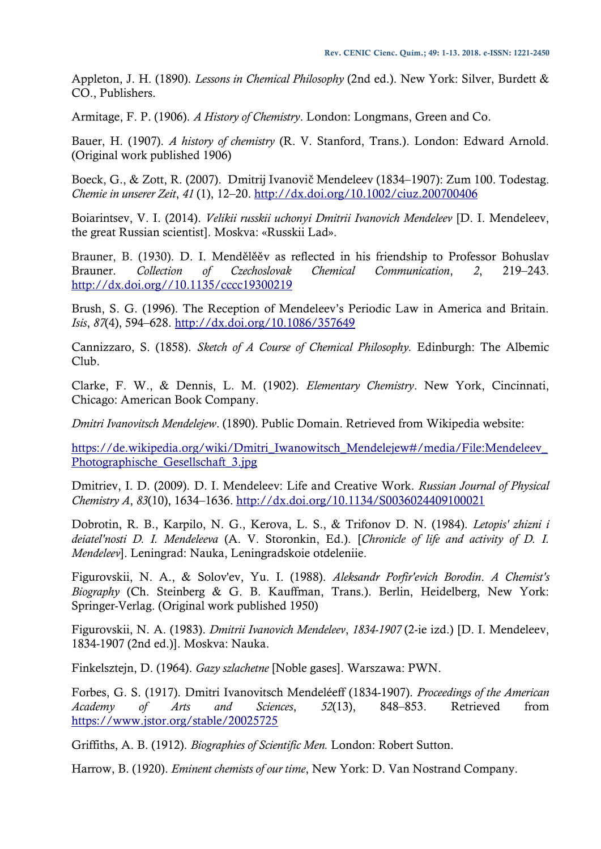Appleton, J. H. (1890). *Lessons in Chemical Philosophy* (2nd ed.). New York: Silver, Burdett & CO., Publishers.

Armitage, F. P. (1906). *A History of Chemistry*. London: Longmans, Green and Co.

Bauer, H. (1907). *A history of chemistry* (R. V. Stanford, Trans.). London: Edward Arnold. (Original work published 1906)

Boeck, G., & Zott, R. (2007). Dmitrij Ivanovič Mendeleev (1834–1907): Zum 100. Todestag. *Chemie in unserer Zeit*, *41* (1), 12–20.<http://dx.doi.org/10.1002/ciuz.200700406>

Boiarintsev, V. I. (2014). *Velikii russkii uchonyi Dmitrii Ivanovich Mendeleev* [D. I. Mendeleev, the great Russian scientist]. Moskva: «Russkii Lad».

Brauner, B. (1930). D. I. Mendělěěv as reflected in his friendship to Professor Bohuslav Brauner. *Collection of Czechoslovak Chemical Communication*, *2*, 219–243. [http://dx.doi.org//10.1135/cccc19300219](http://dx.doi.org/10.1135/cccc19300219)

Brush, S. G. (1996). The Reception of Mendeleev's Periodic Law in America and Britain. *Isis*, *87*(4), 594–628.<http://dx.doi.org/10.1086/357649>

Cannizzaro, S. (1858). *Sketch of A Course of Chemical Philosophy.* Edinburgh: The Albemic Club.

Clarke, F. W., & Dennis, L. M. (1902). *Elementary Chemistry*. New York, Cincinnati, Chicago: American Book Company.

*Dmitri Ivanovitsch Mendelejew*. (1890). Public Domain. Retrieved from Wikipedia website:

[https://de.wikipedia.org/wiki/Dmitri\\_Iwanowitsch\\_Mendelejew#/media/File:Mendeleev\\_](https://de.wikipedia.org/wiki/Dmitri_Iwanowitsch_Mendelejew#/media/File:Mendeleev_Photographische_Gesellschaft_3.jpg) [Photographische\\_Gesellschaft\\_3.jpg](https://de.wikipedia.org/wiki/Dmitri_Iwanowitsch_Mendelejew#/media/File:Mendeleev_Photographische_Gesellschaft_3.jpg)

Dmitriev, I. D. (2009). D. I. Mendeleev: Life and Creative Work. *Russian Journal of Physical Chemistry A*, *83*(10), 1634–1636.<http://dx.doi.org/10.1134/S0036024409100021>

Dobrotin, R. B., Karpilo, N. G., Kerova, L. S., & Trifonov D. N. (1984). *Letopis' zhizni i deiatel'nosti D. I. Mendeleeva* (A. V. Storonkin, Ed.). [*Chronicle of life and activity of D. I. Mendeleev*]. Leningrad: Nauka, Leningradskoie otdeleniie.

Figurovskii, N. A., & Solov'ev, Yu. I. (1988). *Aleksandr Porfir'evich Borodin*. *A Chemist's Biography* (Ch. Steinberg & G. B. Kauffman, Trans.). Berlin, Heidelberg, New York: Springer-Verlag. (Original work published 1950)

Figurovskii, N. A. (1983). *Dmitrii Ivanovich Mendeleev*, *1834-1907* (2-ie izd.) [D. I. Mendeleev, 1834-1907 (2nd ed.)]. Moskva: Nauka.

Finkelsztejn, D. (1964). *Gazy szlachetne* [Noble gases]. Warszawa: PWN.

Forbes, G. S. (1917). Dmitri Ivanovitsch Mendeléeff (1834-1907). *Proceedings of the American Academy of Arts and Sciences*, *52*(13), 848–853. Retrieved from <https://www.jstor.org/stable/20025725>

Griffiths, A. B. (1912). *Biographies of Scientific Men.* London: Robert Sutton.

Harrow, B. (1920). *Eminent chemists of our time*, New York: D. Van Nostrand Company.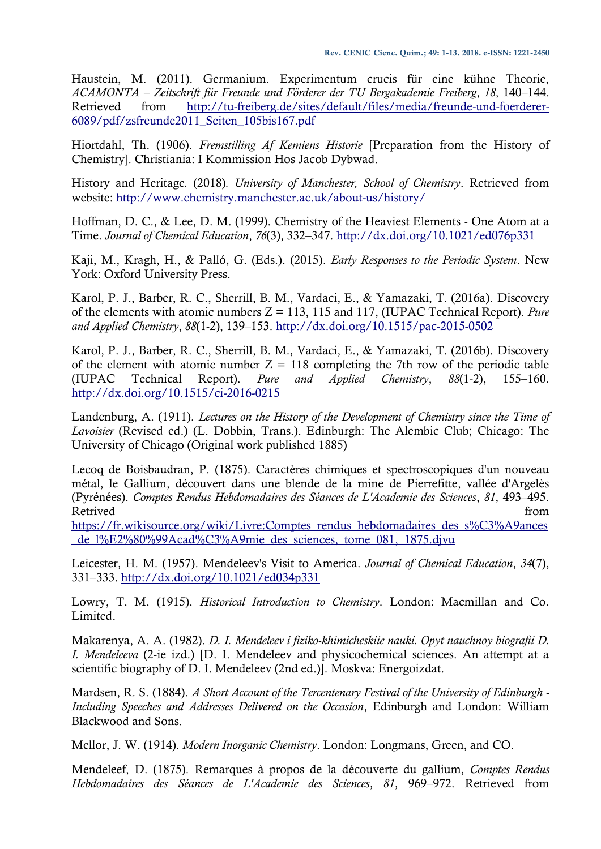Haustein, M. (2011). Germanium. Experimentum crucis für eine kühne Theorie, *ACAMONTA – Zeitschrift für Freunde und Förderer der TU Bergakademie Freiberg*, *18*, 140–144. Retrieved from [http://tu-freiberg.de/sites/default/files/media/freunde-und-foerderer-](http://tu-freiberg.de/sites/default/files/media/freunde-und-foerderer-6089/pdf/zsfreunde2011_Seiten_105bis167.pdf)[6089/pdf/zsfreunde2011\\_Seiten\\_105bis167.pdf](http://tu-freiberg.de/sites/default/files/media/freunde-und-foerderer-6089/pdf/zsfreunde2011_Seiten_105bis167.pdf) 

Hiortdahl, Th. (1906). *Fremstilling Af Kemiens Historie* [Preparation from the History of Chemistry]*.* Christiania: I Kommission Hos Jacob Dybwad.

History and Heritage*.* (2018)*. University of Manchester, School of Chemistry*. Retrieved from website:<http://www.chemistry.manchester.ac.uk/about-us/history/>

Hoffman, D. C., & Lee, D. M. (1999). Chemistry of the Heaviest Elements - One Atom at a Time. *Journal of Chemical Education*, *76*(3), 332–347.<http://dx.doi.org/10.1021/ed076p331>

Kaji, M., Kragh, H., & Palló, G. (Eds.). (2015). *Early Responses to the Periodic System*. New York: Oxford University Press.

Karol, P. J., Barber, R. C., Sherrill, B. M., Vardaci, E., & Yamazaki, T. (2016a). Discovery of the elements with atomic numbers Z = 113, 115 and 117, (IUPAC Technical Report). *Pure and Applied Chemistry*, *88*(1-2), 139–153.<http://dx.doi.org/10.1515/pac-2015-0502>

Karol, P. J., Barber, R. C., Sherrill, B. M., Vardaci, E., & Yamazaki, T. (2016b). Discovery of the element with atomic number  $Z = 118$  completing the 7th row of the periodic table (IUPAC Technical Report). *Pure and Applied Chemistry*, *88*(1-2), 155–160. <http://dx.doi.org/10.1515/ci-2016-0215>

Landenburg, A. (1911). *Lectures on the History of the Development of Chemistry since the Time of Lavoisier* (Revised ed.) (L. Dobbin, Trans.). Edinburgh: The Alembic Club; Chicago: The University of Chicago (Original work published 1885)

Lecoq de Boisbaudran, P. (1875). Caractères chimiques et spectroscopiques d'un nouveau métal, le Gallium, découvert dans une blende de la mine de Pierrefitte, vallée d'Argelès (Pyrénées). *Comptes Rendus Hebdomadaires des Séances de L'Academie des Sciences*, *81*, 493–495. Retrived from the state of the state of the state of the state of the state of the state of the state of the state of the state of the state of the state of the state of the state of the state of the state of the state of

[https://fr.wikisource.org/wiki/Livre:Comptes\\_rendus\\_hebdomadaires\\_des\\_s%C3%A9ances](https://fr.wikisource.org/wiki/Livre:Comptes_rendus_hebdomadaires_des_s%C3%A9ances_de_l%E2%80%99Acad%C3%A9mie_des_sciences,_tome_081,_1875.djvu) [\\_de\\_l%E2%80%99Acad%C3%A9mie\\_des\\_sciences,\\_tome\\_081,\\_1875.djvu](https://fr.wikisource.org/wiki/Livre:Comptes_rendus_hebdomadaires_des_s%C3%A9ances_de_l%E2%80%99Acad%C3%A9mie_des_sciences,_tome_081,_1875.djvu)

Leicester, H. M. (1957). Mendeleev's Visit to America. *Journal of Chemical Education*, *34*(7), 331–333.<http://dx.doi.org/10.1021/ed034p331>

Lowry, T. M. (1915). *Historical Introduction to Chemistry*. London: Macmillan and Co. Limited.

Makarenya, A. A. (1982). *D. I. Mendeleev i fiziko-khimicheskiie nauki. Opyt nauchnoy biografii D. I. Mendeleeva* (2-ie izd.) [D. I. Mendeleev and physicochemical sciences. An attempt at a scientific biography of D. I. Mendeleev (2nd ed.)]. Moskva: Energoizdat.

Mardsen, R. S. (1884). *A Short Account of the Tercentenary Festival of the University of Edinburgh - Including Speeches and Addresses Delivered on the Occasion*, Edinburgh and London: William Blackwood and Sons.

Mellor, J. W. (1914). *Modern Inorganic Chemistry*. London: Longmans, Green, and CO.

Mendeleef, D. (1875). Remarques à propos de la découverte du gallium, *Comptes Rendus Hebdomadaires des Séances de L'Academie des Sciences*, *81*, 969–972. Retrieved from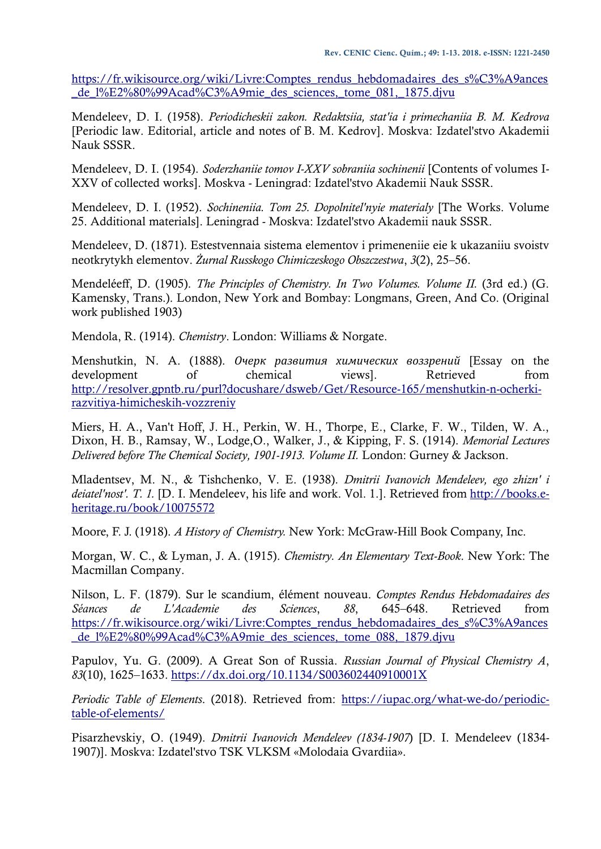[https://fr.wikisource.org/wiki/Livre:Comptes\\_rendus\\_hebdomadaires\\_des\\_s%C3%A9ances](https://fr.wikisource.org/wiki/Livre:Comptes_rendus_hebdomadaires_des_s%C3%A9ances_de_l%E2%80%99Acad%C3%A9mie_des_sciences,_tome_081,_1875.djvu) [\\_de\\_l%E2%80%99Acad%C3%A9mie\\_des\\_sciences,\\_tome\\_081,\\_1875.djvu](https://fr.wikisource.org/wiki/Livre:Comptes_rendus_hebdomadaires_des_s%C3%A9ances_de_l%E2%80%99Acad%C3%A9mie_des_sciences,_tome_081,_1875.djvu)

Mendeleev, D. I. (1958). *Periodicheskii zakon. Redaktsiia, stat'ia i primechaniia B. M. Kedrova*  [Periodic law. Editorial, article and notes of B. M. Kedrov]. Moskva: Izdatel'stvo Akademii Nauk SSSR.

Mendeleev, D. I. (1954). *Soderzhaniie tomov I-XXV sobraniia sochinenii* [Contents of volumes I-XXV of collected works]. Moskva - Leningrad: Izdatel'stvo Akademii Nauk SSSR.

Mendeleev, D. I. (1952). *Sochineniia. Tom 25. Dopolnitel'nyie materialy* [The Works. Volume 25. Additional materials]. Leningrad - Moskva: Izdatel'stvo Akademii nauk SSSR.

Mendeleev, D. (1871). Estestvennaia sistema elementov i primeneniie eie k ukazaniiu svoistv neotkrytykh elementov. *Żurnal Russkogo Chimiczeskogo Obszczestwa*, *3*(2), 25–56.

Mendeléeff, D. (1905). *The Principles of Chemistry. In Two Volumes. Volume II.* (3rd ed.) (G. Kamensky, Trans.). London, New York and Bombay: Longmans, Green, And Co. (Original work published 1903)

Mendola, R. (1914). *Chemistry*. London: Williams & Norgate.

Menshutkin, N. A. (1888). *Очерк развития химических воззрений* [Essay on the development of chemical views]. Retrieved from [http://resolver.gpntb.ru/purl?docushare/dsweb/Get/Resource-165/menshutkin-n-ocherki](http://resolver.gpntb.ru/purl?docushare/dsweb/Get/Resource-165/menshutkin-n-ocherki-razvitiya-himicheskih-vozzreniy)[razvitiya-himicheskih-vozzreniy](http://resolver.gpntb.ru/purl?docushare/dsweb/Get/Resource-165/menshutkin-n-ocherki-razvitiya-himicheskih-vozzreniy)

Miers, H. A., Van't Hoff, J. H., Perkin, W. H., Thorpe, E., Clarke, F. W., Tilden, W. A., Dixon, H. B., Ramsay, W., Lodge,O., Walker, J., & Kipping, F. S. (1914). *Memorial Lectures Delivered before The Chemical Society, 1901-1913. Volume II.* London: Gurney & Jackson.

Mladentsev, M. N., & Tishchenko, V. E. (1938). *Dmitrii Ivanovich Mendeleev, ego zhizn' i deiatel'nost'. T. 1.* [D. I. Mendeleev, his life and work. Vol. 1.]. Retrieved from [http://books.e](http://books.e-heritage.ru/book/10075572)[heritage.ru/book/10075572](http://books.e-heritage.ru/book/10075572) 

Moore, F. J. (1918). *A History of Chemistry.* New York: McGraw-Hill Book Company, Inc.

Morgan, W. C., & Lyman, J. A. (1915). *Chemistry. An Elementary Text-Book*. New York: The Macmillan Company.

Nilson, L. F. (1879). Sur le scandium, élément nouveau. *Comptes Rendus Hebdomadaires des Séances de L'Academie des Sciences*, *88*, 645–648. Retrieved from [https://fr.wikisource.org/wiki/Livre:Comptes\\_rendus\\_hebdomadaires\\_des\\_s%C3%A9ances](https://fr.wikisource.org/wiki/Livre:Comptes_rendus_hebdomadaires_des_s%C3%A9ances_de_l%E2%80%99Acad%C3%A9mie_des_sciences,_tome_088,_1879.djvu) [\\_de\\_l%E2%80%99Acad%C3%A9mie\\_des\\_sciences,\\_tome\\_088,\\_1879.djvu](https://fr.wikisource.org/wiki/Livre:Comptes_rendus_hebdomadaires_des_s%C3%A9ances_de_l%E2%80%99Acad%C3%A9mie_des_sciences,_tome_088,_1879.djvu)

Papulov, Yu. G. (2009). A Great Son of Russia. *Russian Journal of Physical Chemistry A*, *83*(10), 1625–1633.<https://dx.doi.org/10.1134/S003602440910001X>

*Periodic Table of Elements*. (2018). Retrieved from: [https://iupac.org/what-we-do/periodic](https://iupac.org/what-we-do/periodic-table-of-elements/)[table-of-elements/](https://iupac.org/what-we-do/periodic-table-of-elements/)

Pisarzhevskiy, O. (1949). *Dmitrii Ivanovich Mendeleev (1834-1907*) [D. I. Mendeleev (1834- 1907)]. Moskva: Izdatel'stvo TSK VLKSM «Molodaia Gvardiia».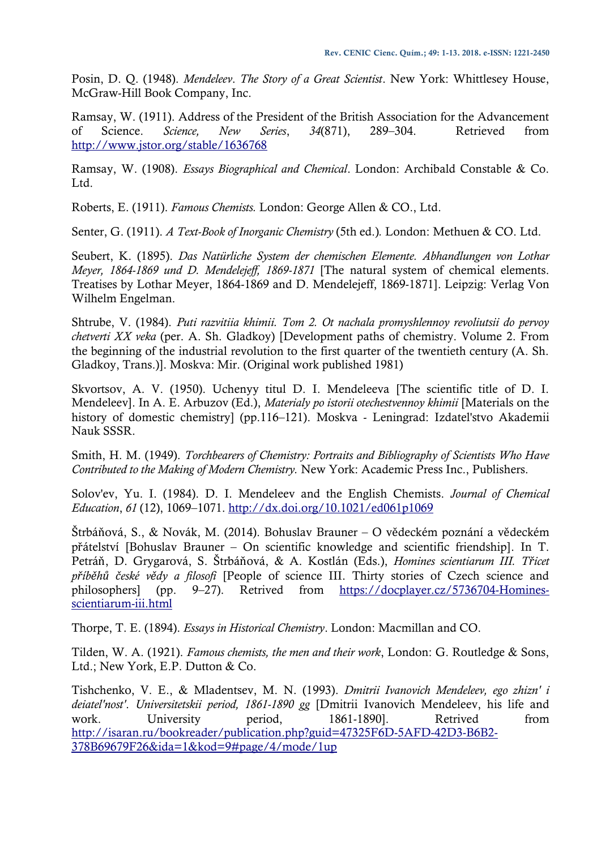Posin, D. Q. (1948). *Mendeleev*. *The Story of a Great Scientist*. New York: Whittlesey House, McGraw-Hill Book Company, Inc.

Ramsay, W. (1911). Address of the President of the British Association for the Advancement of Science. *Science, New Series*, *34*(871), 289–304. Retrieved from <http://www.jstor.org/stable/1636768>

Ramsay, W. (1908). *Essays Biographical and Chemical*. London: Archibald Constable & Co. Ltd.

Roberts, E. (1911). *Famous Chemists.* London: George Allen & CO., Ltd.

Senter, G. (1911). *A Text-Book of Inorganic Chemistry* (5th ed.)*.* London: Methuen & CO. Ltd.

Seubert, K. (1895). *Das Natürliche System der chemischen Elemente. Abhandlungen von Lothar Meyer, 1864-1869 und D. Mendelejeff, 1869-1871* [The natural system of chemical elements. Treatises by Lothar Meyer, 1864-1869 and D. Mendelejeff, 1869-1871]. Leipzig: Verlag Von Wilhelm Engelman.

Shtrube, V. (1984). *Puti razvitiia khimii. Tom 2. Ot nachala promyshlennoy revoliutsii do pervoy chetverti XX veka* (per. A. Sh. Gladkoy) [Development paths of chemistry. Volume 2. From the beginning of the industrial revolution to the first quarter of the twentieth century (A. Sh. Gladkoy, Trans.)]. Moskva: Mir. (Original work published 1981)

Skvortsov, A. V. (1950). Uchenyy titul D. I. Mendeleeva [The scientific title of D. I. Mendeleev]. In A. E. Arbuzov (Ed.), *Materialy po istorii otechestvennoy khimii* [Materials on the history of domestic chemistry] (pp.116–121). Moskva - Leningrad: Izdatel'stvo Akademii Nauk SSSR.

Smith, H. M. (1949). *Torchbearers of Chemistry: Portraits and Bibliography of Scientists Who Have Contributed to the Making of Modern Chemistry.* New York: Academic Press Inc., Publishers.

Solov'ev, Yu. I. (1984). D. I. Mendeleev and the English Chemists. *Journal of Chemical Education*, *61* (12), 1069–1071.<http://dx.doi.org/10.1021/ed061p1069>

Štrbáňová, S., & Novák, M. (2014). Bohuslav Brauner – O vědeckém poznání a vědeckém přátelství [Bohuslav Brauner – On scientific knowledge and scientific friendship]. In T. Petráň, D. Grygarová, S. Štrbáňová, & A. Kostlán (Eds.), *Homines scientiarum III. Třicet příběhů české vědy a filosofi* [People of science III. Thirty stories of Czech science and philosophers] (pp. 9–27). Retrived from [https://docplayer.cz/5736704-Homines](https://docplayer.cz/5736704-Homines-scientiarum-iii.html)[scientiarum-iii.html](https://docplayer.cz/5736704-Homines-scientiarum-iii.html)

Thorpe, T. E. (1894). *Essays in Historical Chemistry*. London: Macmillan and CO.

Tilden, W. A. (1921). *Famous chemists, the men and their work*, London: G. Routledge & Sons, Ltd.; New York, E.P. Dutton & Co.

Tishchenko, V. E., & Mladentsev, M. N. (1993). *Dmitrii Ivanovich Mendeleev, ego zhizn' i deiatel'nost'*. *Universitetskii period, 1861-1890 gg* [Dmitrii Ivanovich Mendeleev, his life and work. University period, 1861-1890]. Retrived from [http://isaran.ru/bookreader/publication.php?guid=47325F6D-5AFD-42D3-B6B2-](http://isaran.ru/bookreader/publication.php?guid=47325F6D-5AFD-42D3-B6B2-378B69679F26&ida=1&kod=9#page/4/mode/1up) [378B69679F26&ida=1&kod=9#page/4/mode/1up](http://isaran.ru/bookreader/publication.php?guid=47325F6D-5AFD-42D3-B6B2-378B69679F26&ida=1&kod=9#page/4/mode/1up)